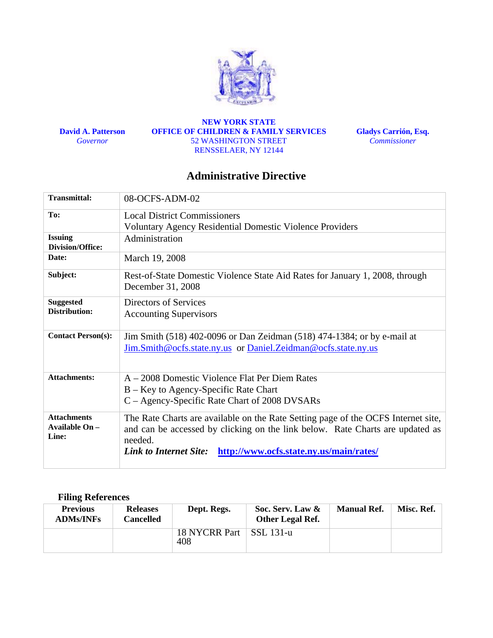

**David A. Patterson**  *Governor* 

**NEW YORK STATE OFFICE OF CHILDREN & FAMILY SERVICES**  52 WASHINGTON STREET RENSSELAER, NY 12144

**Gladys Carrión, Esq.**  *Commissioner* 

# **Administrative Directive**

| <b>Transmittal:</b>                       | 08-OCFS-ADM-02                                                                                    |
|-------------------------------------------|---------------------------------------------------------------------------------------------------|
| To:                                       | <b>Local District Commissioners</b>                                                               |
|                                           | <b>Voluntary Agency Residential Domestic Violence Providers</b>                                   |
| <b>Issuing</b><br><b>Division/Office:</b> | Administration                                                                                    |
| Date:                                     | March 19, 2008                                                                                    |
| Subject:                                  | Rest-of-State Domestic Violence State Aid Rates for January 1, 2008, through<br>December 31, 2008 |
| <b>Suggested</b>                          | Directors of Services                                                                             |
| Distribution:                             | <b>Accounting Supervisors</b>                                                                     |
| <b>Contact Person(s):</b>                 | Jim Smith (518) 402-0096 or Dan Zeidman (518) 474-1384; or by e-mail at                           |
|                                           | Jim.Smith@ocfs.state.ny.us or Daniel.Zeidman@ocfs.state.ny.us                                     |
| <b>Attachments:</b>                       | A – 2008 Domestic Violence Flat Per Diem Rates                                                    |
|                                           | B – Key to Agency-Specific Rate Chart                                                             |
|                                           | C – Agency-Specific Rate Chart of 2008 DVSARs                                                     |
| <b>Attachments</b>                        | The Rate Charts are available on the Rate Setting page of the OCFS Internet site,                 |
| Available On -<br>Line:                   | and can be accessed by clicking on the link below. Rate Charts are updated as                     |
|                                           | needed.                                                                                           |
|                                           | http://www.ocfs.state.ny.us/main/rates/<br><b>Link to Internet Site:</b>                          |
|                                           |                                                                                                   |

# **Filing References**

| <b>Previous</b><br><b>ADMs/INFs</b> | <b>Releases</b><br>Cancelled | Dept. Regs.                      | Soc. Serv. Law &<br><b>Other Legal Ref.</b> | <b>Manual Ref.</b> | Misc. Ref. |
|-------------------------------------|------------------------------|----------------------------------|---------------------------------------------|--------------------|------------|
|                                     |                              | 18 NYCRR Part   SSL 131-u<br>408 |                                             |                    |            |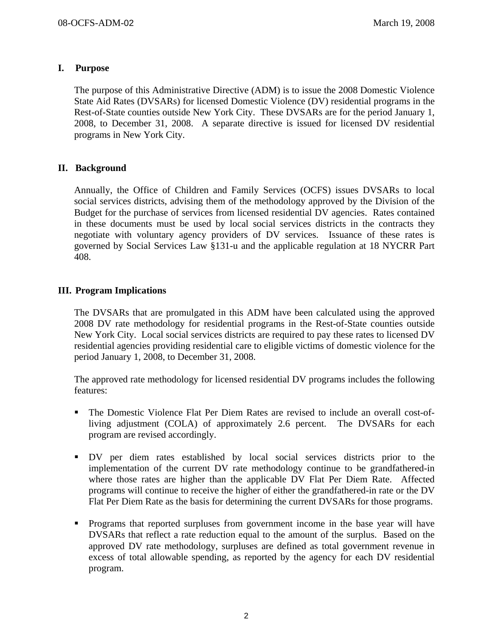## **I. Purpose**

The purpose of this Administrative Directive (ADM) is to issue the 2008 Domestic Violence State Aid Rates (DVSARs) for licensed Domestic Violence (DV) residential programs in the Rest-of-State counties outside New York City. These DVSARs are for the period January 1, 2008, to December 31, 2008. A separate directive is issued for licensed DV residential programs in New York City.

# **II. Background**

Annually, the Office of Children and Family Services (OCFS) issues DVSARs to local social services districts, advising them of the methodology approved by the Division of the Budget for the purchase of services from licensed residential DV agencies. Rates contained in these documents must be used by local social services districts in the contracts they negotiate with voluntary agency providers of DV services. Issuance of these rates is governed by Social Services Law §131-u and the applicable regulation at 18 NYCRR Part 408.

# **III. Program Implications**

The DVSARs that are promulgated in this ADM have been calculated using the approved 2008 DV rate methodology for residential programs in the Rest-of-State counties outside New York City. Local social services districts are required to pay these rates to licensed DV residential agencies providing residential care to eligible victims of domestic violence for the period January 1, 2008, to December 31, 2008.

The approved rate methodology for licensed residential DV programs includes the following features:

- The Domestic Violence Flat Per Diem Rates are revised to include an overall cost-ofliving adjustment (COLA) of approximately 2.6 percent. The DVSARs for each program are revised accordingly.
- DV per diem rates established by local social services districts prior to the implementation of the current DV rate methodology continue to be grandfathered-in where those rates are higher than the applicable DV Flat Per Diem Rate. Affected programs will continue to receive the higher of either the grandfathered-in rate or the DV Flat Per Diem Rate as the basis for determining the current DVSARs for those programs.
- **Programs that reported surpluses from government income in the base year will have** DVSARs that reflect a rate reduction equal to the amount of the surplus. Based on the approved DV rate methodology, surpluses are defined as total government revenue in excess of total allowable spending, as reported by the agency for each DV residential program.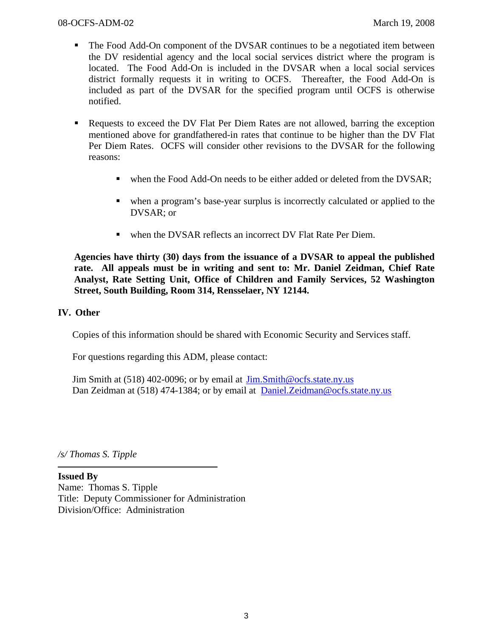- The Food Add-On component of the DVSAR continues to be a negotiated item between the DV residential agency and the local social services district where the program is located. The Food Add-On is included in the DVSAR when a local social services district formally requests it in writing to OCFS. Thereafter, the Food Add-On is included as part of the DVSAR for the specified program until OCFS is otherwise notified.
- Requests to exceed the DV Flat Per Diem Rates are not allowed, barring the exception mentioned above for grandfathered-in rates that continue to be higher than the DV Flat Per Diem Rates. OCFS will consider other revisions to the DVSAR for the following reasons:
	- when the Food Add-On needs to be either added or deleted from the DVSAR;
	- when a program's base-year surplus is incorrectly calculated or applied to the DVSAR; or
	- when the DVSAR reflects an incorrect DV Flat Rate Per Diem.

**Agencies have thirty (30) days from the issuance of a DVSAR to appeal the published rate. All appeals must be in writing and sent to: Mr. Daniel Zeidman, Chief Rate Analyst, Rate Setting Unit, Office of Children and Family Services, 52 Washington Street, South Building, Room 314, Rensselaer, NY 12144.** 

## **IV. Other**

Copies of this information should be shared with Economic Security and Services staff.

For questions regarding this ADM, please contact:

Jim Smith at (518) 402-0096; or by email at Jim.Smith@ocfs.state.ny.us Dan Zeidman at (518) 474-1384; or by email at Daniel. Zeidman@ocfs.state.ny.us

*/s/ Thomas S. Tipple* 

**Issued By**  Name: Thomas S. Tipple Title: Deputy Commissioner for Administration Division/Office: Administration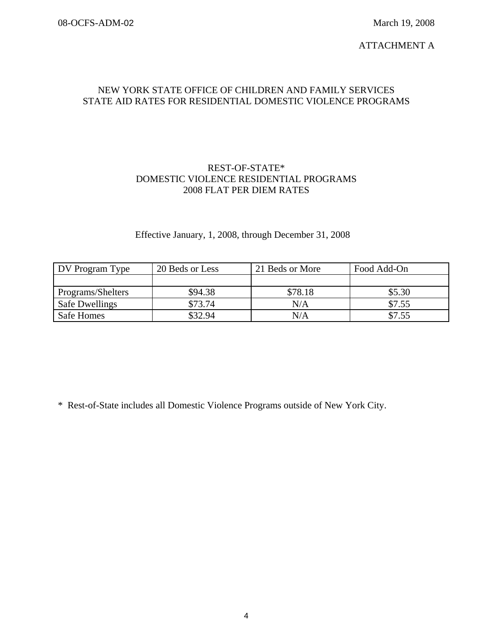ATTACHMENT A

#### NEW YORK STATE OFFICE OF CHILDREN AND FAMILY SERVICES STATE AID RATES FOR RESIDENTIAL DOMESTIC VIOLENCE PROGRAMS

#### REST-OF-STATE\* DOMESTIC VIOLENCE RESIDENTIAL PROGRAMS 2008 FLAT PER DIEM RATES

# Effective January, 1, 2008, through December 31, 2008

| DV Program Type       | 20 Beds or Less | 21 Beds or More | Food Add-On |
|-----------------------|-----------------|-----------------|-------------|
|                       |                 |                 |             |
| Programs/Shelters     | \$94.38         | \$78.18         | \$5.30      |
| <b>Safe Dwellings</b> | \$73.74         | N/A             | \$7.55      |
| Safe Homes            | \$32.94         | N/A             | \$7.55      |

\* Rest-of-State includes all Domestic Violence Programs outside of New York City.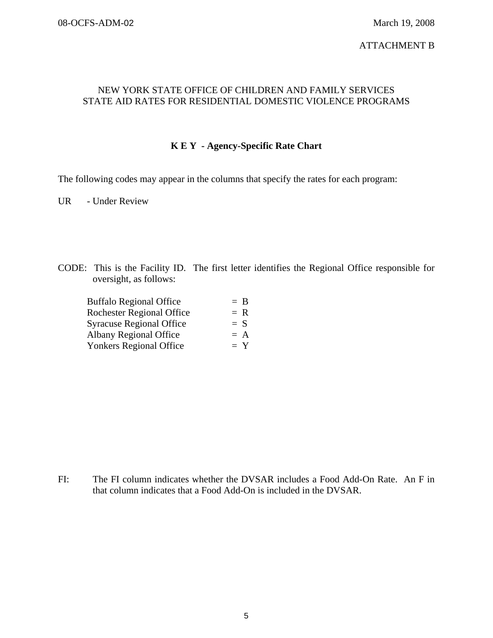#### ATTACHMENT B

#### NEW YORK STATE OFFICE OF CHILDREN AND FAMILY SERVICES STATE AID RATES FOR RESIDENTIAL DOMESTIC VIOLENCE PROGRAMS

## **K E Y - Agency-Specific Rate Chart**

The following codes may appear in the columns that specify the rates for each program:

UR - Under Review

CODE: This is the Facility ID. The first letter identifies the Regional Office responsible for oversight, as follows:

| $=$ B |
|-------|
| $= R$ |
| $= S$ |
| $= A$ |
| $= Y$ |
|       |

FI: The FI column indicates whether the DVSAR includes a Food Add-On Rate. An F in that column indicates that a Food Add-On is included in the DVSAR.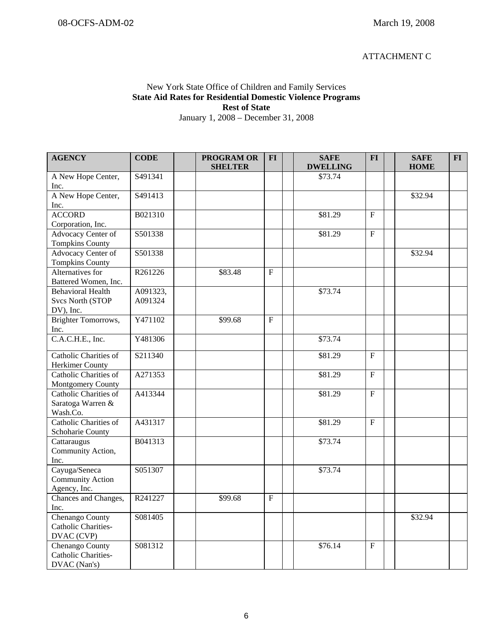#### ATTACHMENT C

#### New York State Office of Children and Family Services **State Aid Rates for Residential Domestic Violence Programs Rest of State**  January 1, 2008 – December 31, 2008

| <b>AGENCY</b>                    | <b>CODE</b> | <b>PROGRAM OR</b><br><b>SHELTER</b> | <b>FI</b>      | <b>SAFE</b><br><b>DWELLING</b> | <b>FI</b>      | <b>SAFE</b><br><b>HOME</b> | $FI$ |
|----------------------------------|-------------|-------------------------------------|----------------|--------------------------------|----------------|----------------------------|------|
| A New Hope Center,               | S491341     |                                     |                | \$73.74                        |                |                            |      |
| Inc.                             |             |                                     |                |                                |                |                            |      |
| A New Hope Center,               | S491413     |                                     |                |                                |                | \$32.94                    |      |
| Inc.                             |             |                                     |                |                                |                |                            |      |
| <b>ACCORD</b>                    | B021310     |                                     |                | \$81.29                        | $\mathbf F$    |                            |      |
| Corporation, Inc.                |             |                                     |                |                                |                |                            |      |
| Advocacy Center of               | S501338     |                                     |                | \$81.29                        | $\overline{F}$ |                            |      |
| <b>Tompkins County</b>           |             |                                     |                |                                |                |                            |      |
| Advocacy Center of               | S501338     |                                     |                |                                |                | \$32.94                    |      |
| <b>Tompkins County</b>           |             |                                     |                |                                |                |                            |      |
| Alternatives for                 | R261226     | \$83.48                             | $\mathbf F$    |                                |                |                            |      |
| Battered Women, Inc.             |             |                                     |                |                                |                |                            |      |
| <b>Behavioral Health</b>         | A091323,    |                                     |                | \$73.74                        |                |                            |      |
| <b>Svcs North (STOP</b>          | A091324     |                                     |                |                                |                |                            |      |
| DV), Inc.<br>Brighter Tomorrows, | Y471102     | \$99.68                             | $\overline{F}$ |                                |                |                            |      |
| Inc.                             |             |                                     |                |                                |                |                            |      |
| C.A.C.H.E., Inc.                 | Y481306     |                                     |                | \$73.74                        |                |                            |      |
|                                  |             |                                     |                |                                |                |                            |      |
| Catholic Charities of            | S211340     |                                     |                | \$81.29                        | $\mathbf F$    |                            |      |
| Herkimer County                  |             |                                     |                |                                |                |                            |      |
| Catholic Charities of            | A271353     |                                     |                | \$81.29                        | $\mathbf F$    |                            |      |
| Montgomery County                |             |                                     |                |                                |                |                            |      |
| Catholic Charities of            | A413344     |                                     |                | \$81.29                        | $\overline{F}$ |                            |      |
| Saratoga Warren &                |             |                                     |                |                                |                |                            |      |
| Wash.Co.                         |             |                                     |                |                                |                |                            |      |
| Catholic Charities of            | A431317     |                                     |                | \$81.29                        | $F_{\rm}$      |                            |      |
| Schoharie County<br>Cattaraugus  | B041313     |                                     |                | \$73.74                        |                |                            |      |
| Community Action,                |             |                                     |                |                                |                |                            |      |
| Inc.                             |             |                                     |                |                                |                |                            |      |
| Cayuga/Seneca                    | S051307     |                                     |                | \$73.74                        |                |                            |      |
| Community Action                 |             |                                     |                |                                |                |                            |      |
| Agency, Inc.                     |             |                                     |                |                                |                |                            |      |
| Chances and Changes,             | R241227     | \$99.68                             | $\mathbf F$    |                                |                |                            |      |
| Inc.                             |             |                                     |                |                                |                |                            |      |
| Chenango County                  | S081405     |                                     |                |                                |                | \$32.94                    |      |
| Catholic Charities-              |             |                                     |                |                                |                |                            |      |
| DVAC (CVP)                       |             |                                     |                |                                |                |                            |      |
| Chenango County                  | S081312     |                                     |                | \$76.14                        | $\mathbf F$    |                            |      |
| Catholic Charities-              |             |                                     |                |                                |                |                            |      |
| DVAC (Nan's)                     |             |                                     |                |                                |                |                            |      |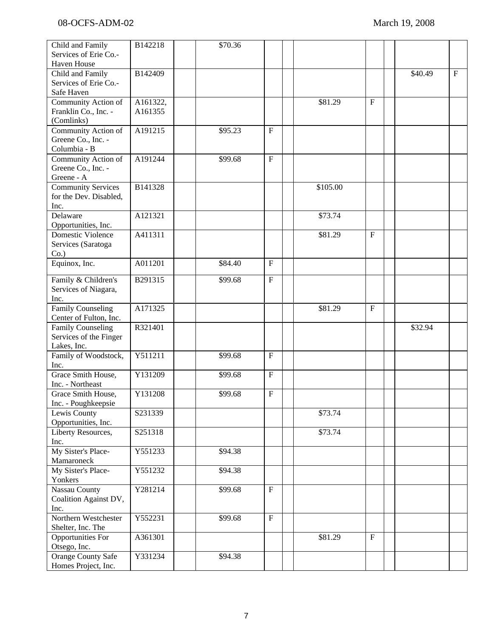| Child and Family          | B142218  | \$70.36 |                           |          |              |         |              |
|---------------------------|----------|---------|---------------------------|----------|--------------|---------|--------------|
| Services of Erie Co.-     |          |         |                           |          |              |         |              |
| Haven House               |          |         |                           |          |              |         |              |
| Child and Family          | B142409  |         |                           |          |              | \$40.49 | $\mathbf{F}$ |
| Services of Erie Co.-     |          |         |                           |          |              |         |              |
| Safe Haven                |          |         |                           |          |              |         |              |
| Community Action of       | A161322, |         |                           | \$81.29  | $\mathbf{F}$ |         |              |
| Franklin Co., Inc. -      | A161355  |         |                           |          |              |         |              |
| (Comlinks)                |          |         |                           |          |              |         |              |
| Community Action of       | A191215  | \$95.23 | $\mathbf{F}$              |          |              |         |              |
| Greene Co., Inc. -        |          |         |                           |          |              |         |              |
| Columbia - B              |          |         |                           |          |              |         |              |
|                           | A191244  |         |                           |          |              |         |              |
| Community Action of       |          | \$99.68 | $\mathbf F$               |          |              |         |              |
| Greene Co., Inc. -        |          |         |                           |          |              |         |              |
| Greene - A                |          |         |                           |          |              |         |              |
| <b>Community Services</b> | B141328  |         |                           | \$105.00 |              |         |              |
| for the Dev. Disabled,    |          |         |                           |          |              |         |              |
| Inc.                      |          |         |                           |          |              |         |              |
| Delaware                  | A121321  |         |                           | \$73.74  |              |         |              |
| Opportunities, Inc.       |          |         |                           |          |              |         |              |
| Domestic Violence         | A411311  |         |                           | \$81.29  | $\mathbf{F}$ |         |              |
| Services (Saratoga        |          |         |                           |          |              |         |              |
| $Co.$ )                   |          |         |                           |          |              |         |              |
| Equinox, Inc.             | A011201  | \$84.40 | $\boldsymbol{\mathrm{F}}$ |          |              |         |              |
|                           |          |         |                           |          |              |         |              |
| Family & Children's       | B291315  | \$99.68 | $\mathbf F$               |          |              |         |              |
| Services of Niagara,      |          |         |                           |          |              |         |              |
| Inc.                      |          |         |                           |          |              |         |              |
| <b>Family Counseling</b>  | A171325  |         |                           | \$81.29  | $\mathbf F$  |         |              |
| Center of Fulton, Inc.    |          |         |                           |          |              |         |              |
| <b>Family Counseling</b>  | R321401  |         |                           |          |              | \$32.94 |              |
| Services of the Finger    |          |         |                           |          |              |         |              |
| Lakes, Inc.               |          |         |                           |          |              |         |              |
| Family of Woodstock,      | Y511211  | \$99.68 | $\mathbf F$               |          |              |         |              |
| Inc.                      |          |         |                           |          |              |         |              |
| Grace Smith House,        | Y131209  | \$99.68 | $\mathbf{F}$              |          |              |         |              |
| Inc. - Northeast          |          |         |                           |          |              |         |              |
| Grace Smith House,        | Y131208  | \$99.68 | $\boldsymbol{\mathrm{F}}$ |          |              |         |              |
| Inc. - Poughkeepsie       |          |         |                           |          |              |         |              |
| Lewis County              | S231339  |         |                           | \$73.74  |              |         |              |
| Opportunities, Inc.       |          |         |                           |          |              |         |              |
| Liberty Resources,        | S251318  |         |                           | \$73.74  |              |         |              |
| Inc.                      |          |         |                           |          |              |         |              |
| My Sister's Place-        | Y551233  | \$94.38 |                           |          |              |         |              |
| Mamaroneck                |          |         |                           |          |              |         |              |
| My Sister's Place-        | Y551232  | \$94.38 |                           |          |              |         |              |
| Yonkers                   |          |         |                           |          |              |         |              |
| <b>Nassau County</b>      | Y281214  | \$99.68 | $\mathbf{F}$              |          |              |         |              |
| Coalition Against DV,     |          |         |                           |          |              |         |              |
| Inc.                      |          |         |                           |          |              |         |              |
| Northern Westchester      | Y552231  | \$99.68 | $\mathbf{F}$              |          |              |         |              |
|                           |          |         |                           |          |              |         |              |
| Shelter, Inc. The         |          |         |                           |          | $\mathbf F$  |         |              |
| <b>Opportunities For</b>  | A361301  |         |                           | \$81.29  |              |         |              |
| Otsego, Inc.              |          |         |                           |          |              |         |              |
| Orange County Safe        | Y331234  | \$94.38 |                           |          |              |         |              |
| Homes Project, Inc.       |          |         |                           |          |              |         |              |